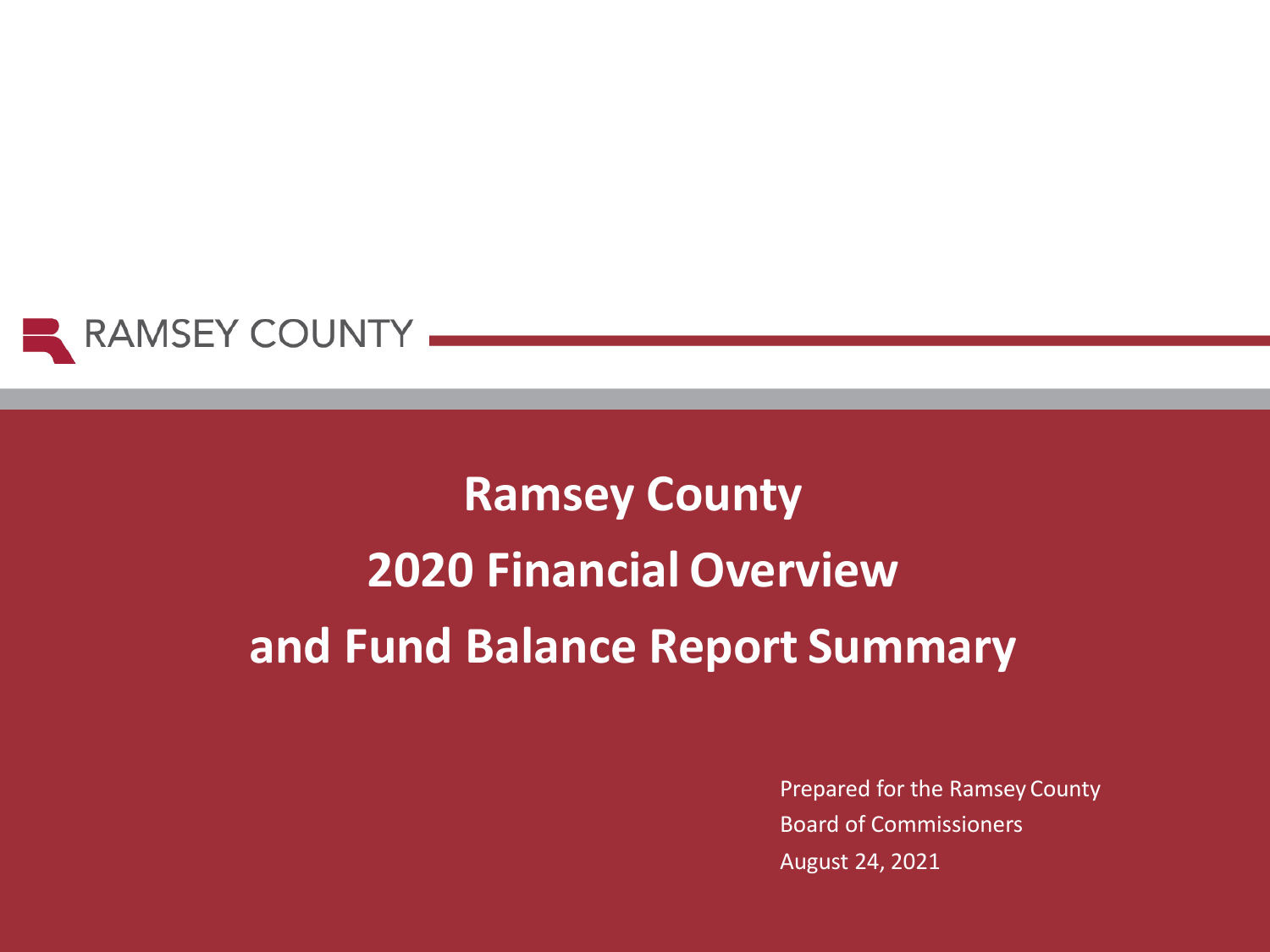

# **Ramsey County 2020 Financial Overview and Fund Balance Report Summary**

Prepared for the Ramsey County Board of Commissioners August 24, 2021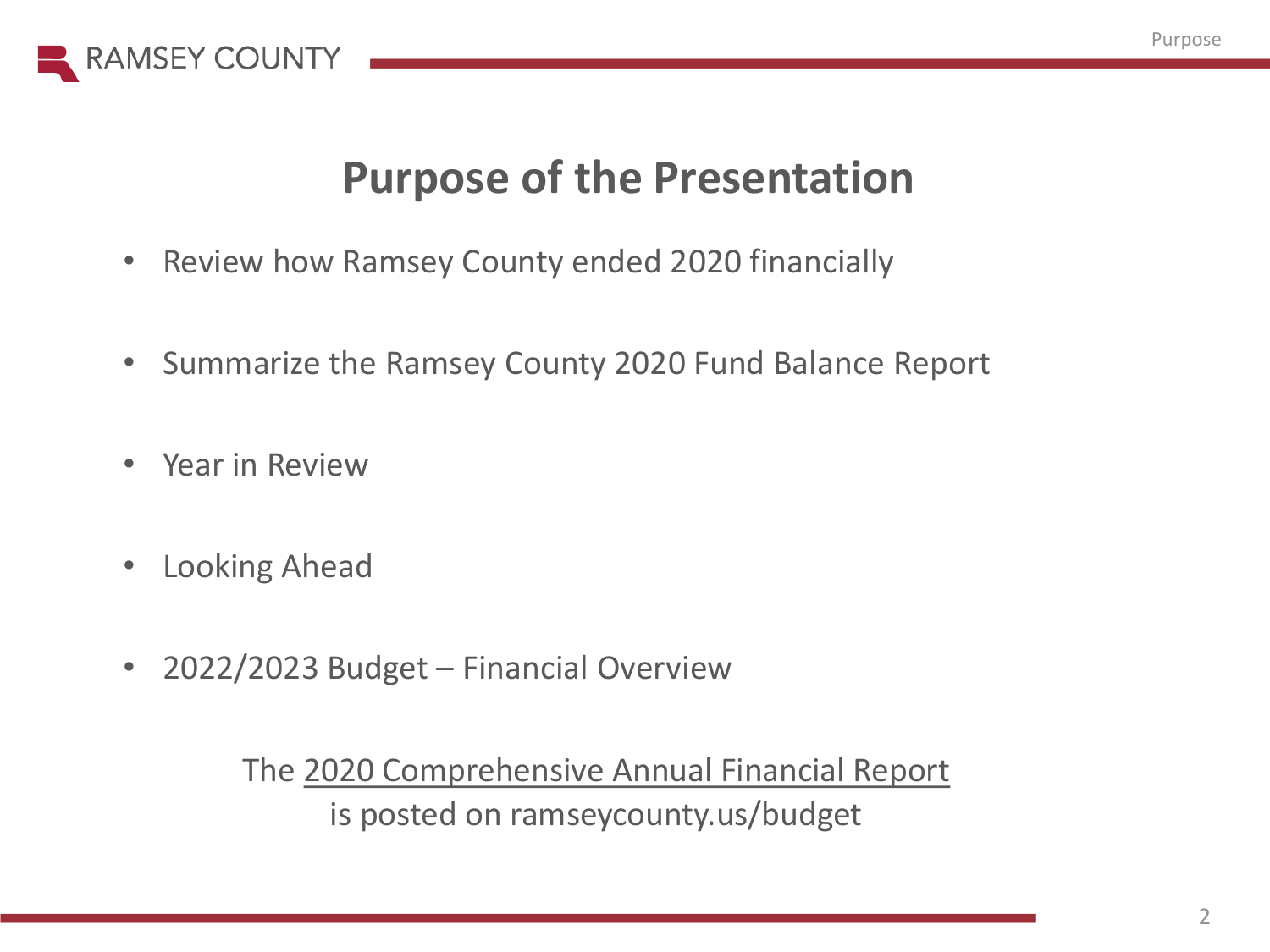

## **Purpose of the Presentation**

- Review how Ramsey County ended 2020 financially
- Summarize the Ramsey County 2020 Fund Balance Report
- Year in Review
- Looking Ahead
- 2022/2023 Budget Financial Overview

The 2020 [Comprehensive Annual Financial Report](https://www.ramseycounty.us/sites/default/files/Budget%20and%20Finance/Comprehensive%20Annual%20Financial%20Report%20w%20pg%20numbers%20internet%20REVISED%20linked.pdf) is posted on ramseycounty.us/budget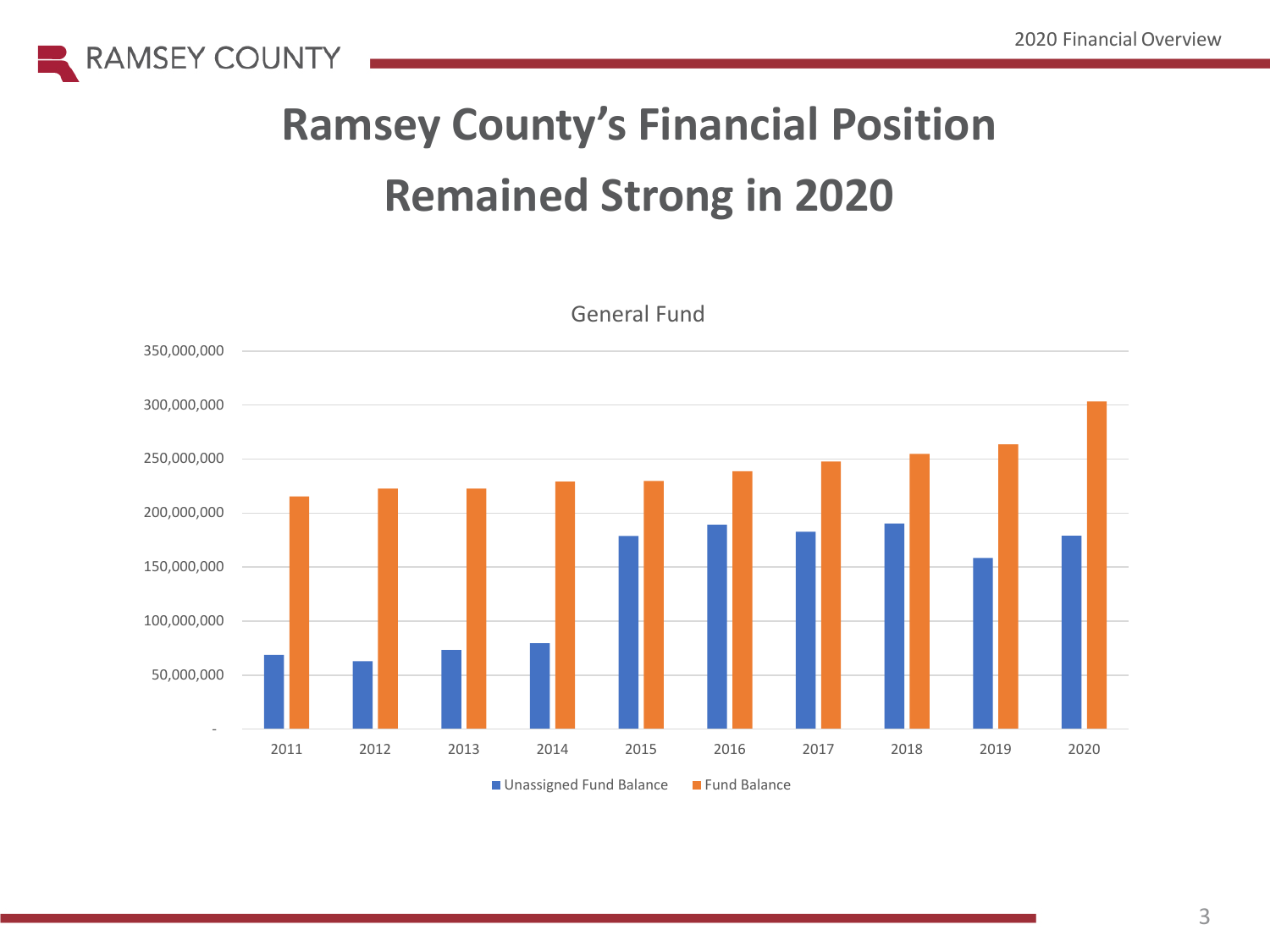



General Fund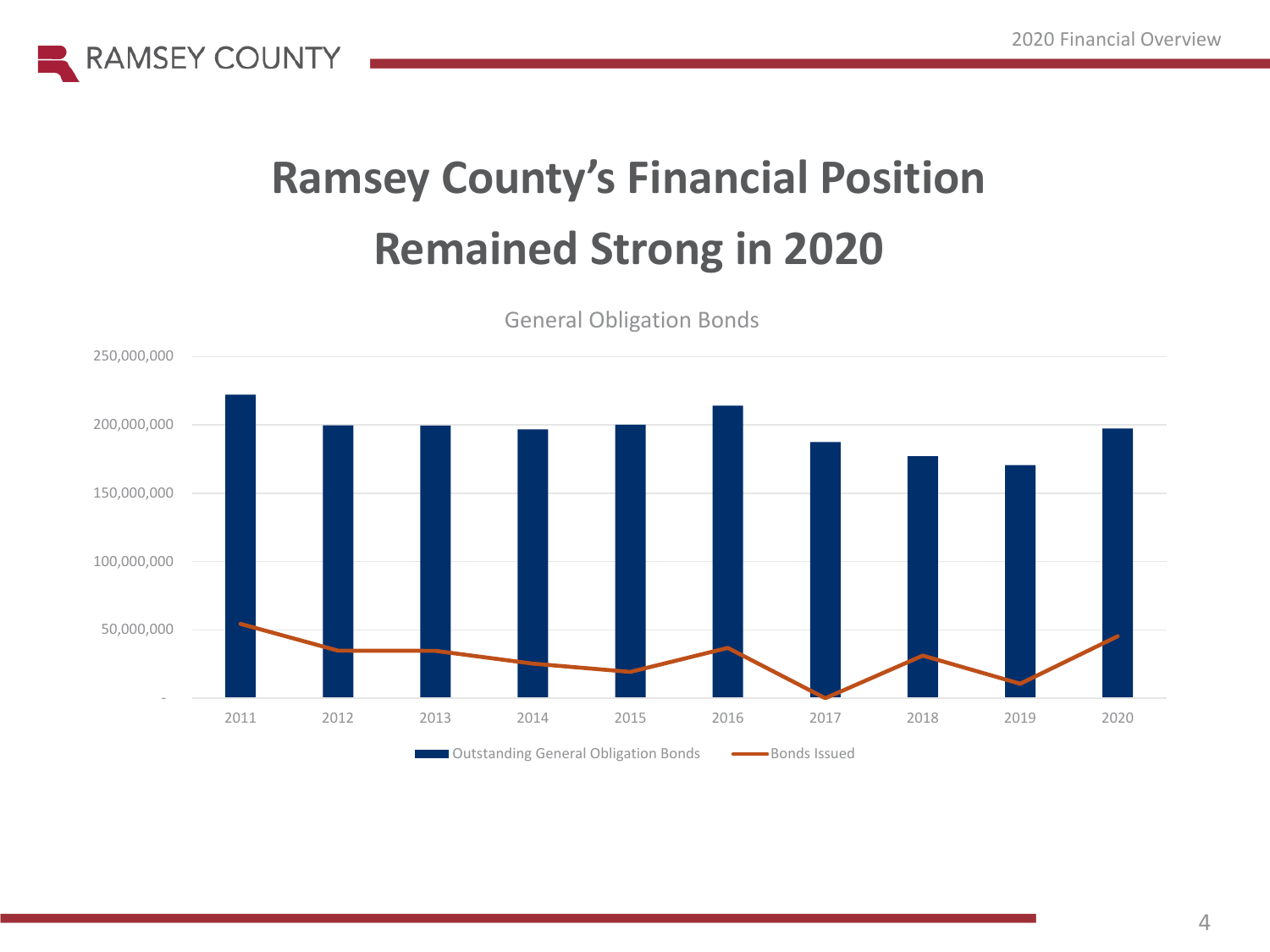



General Obligation Bonds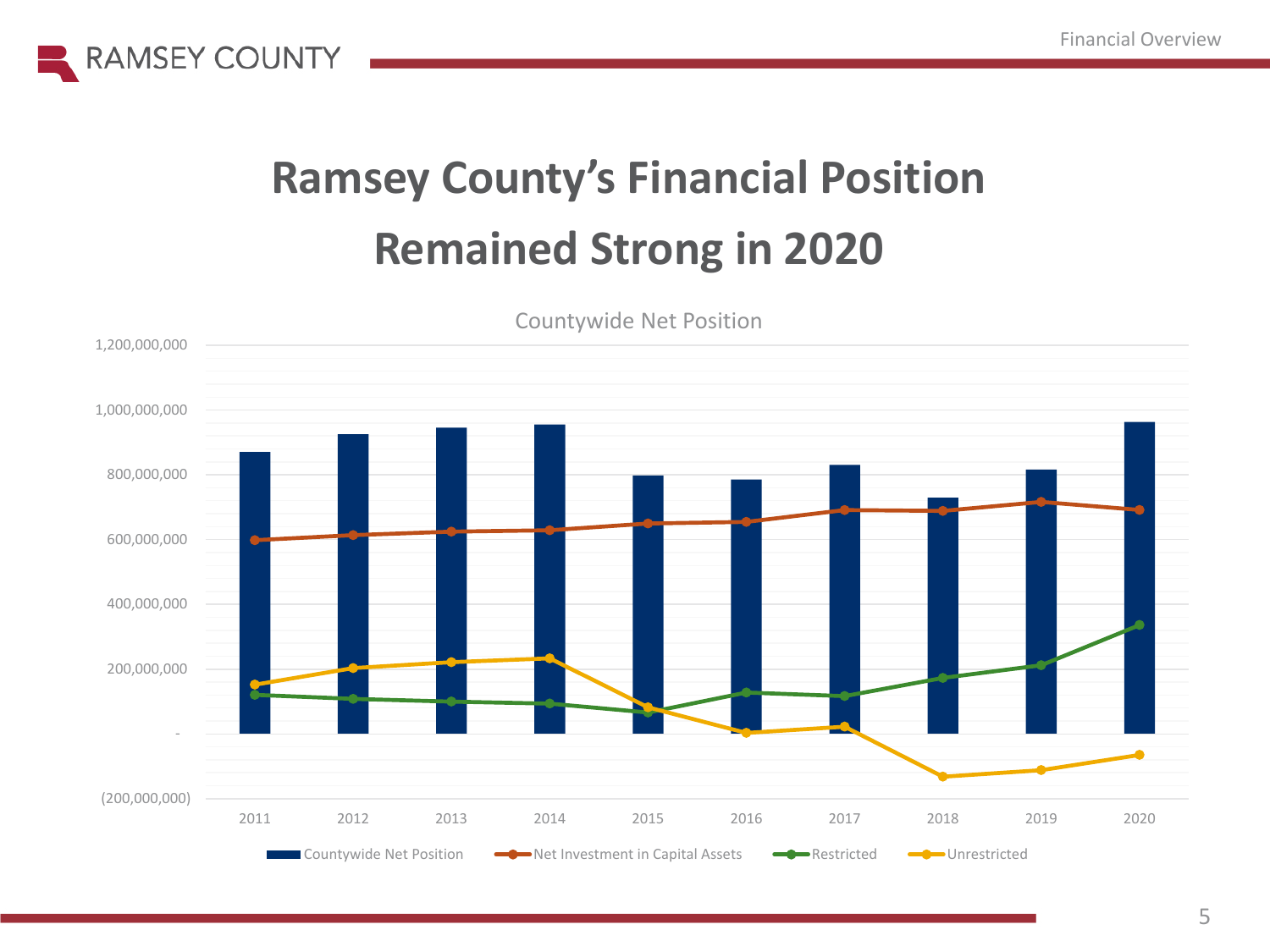



Countywide Net Position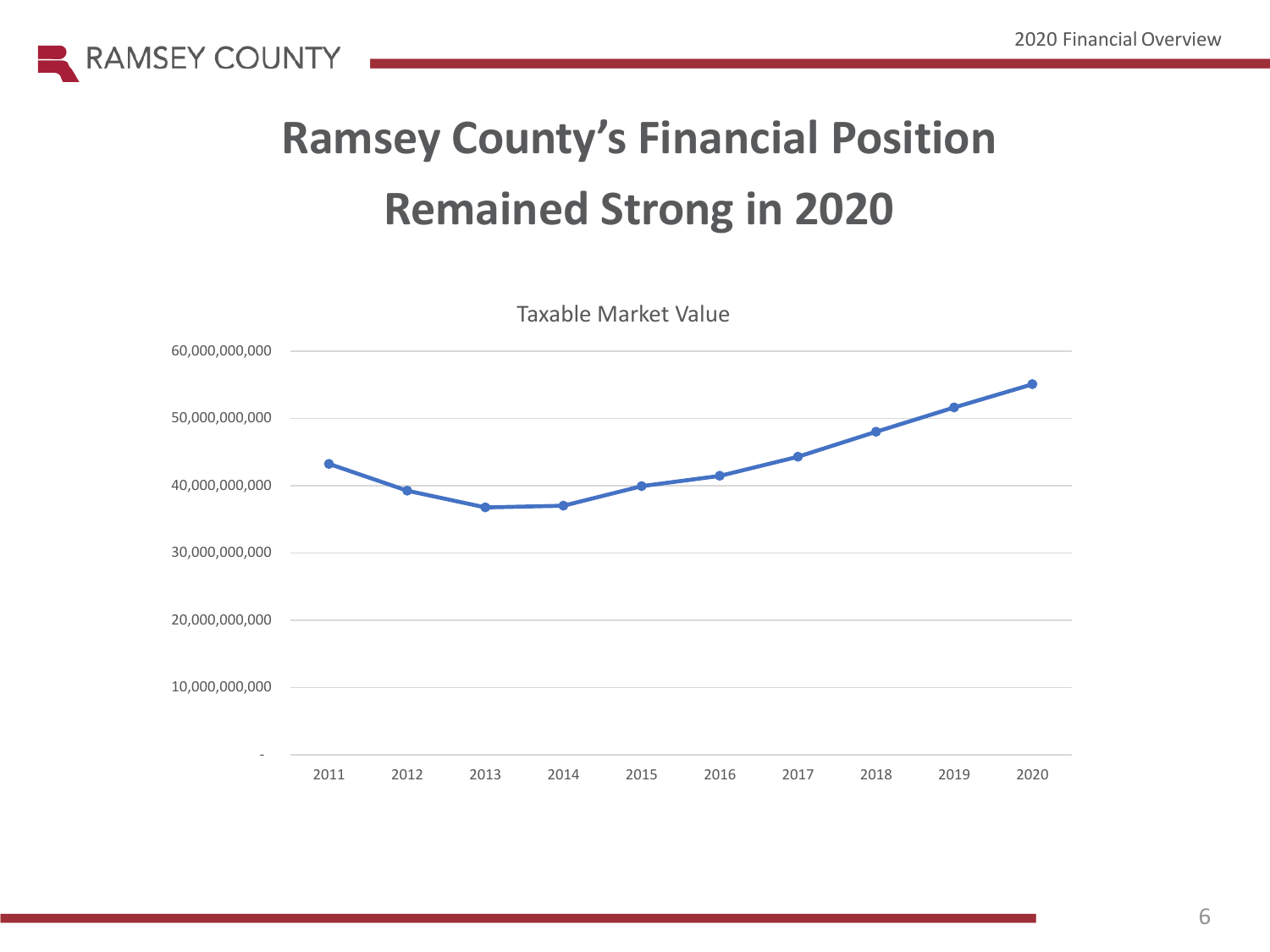



Taxable Market Value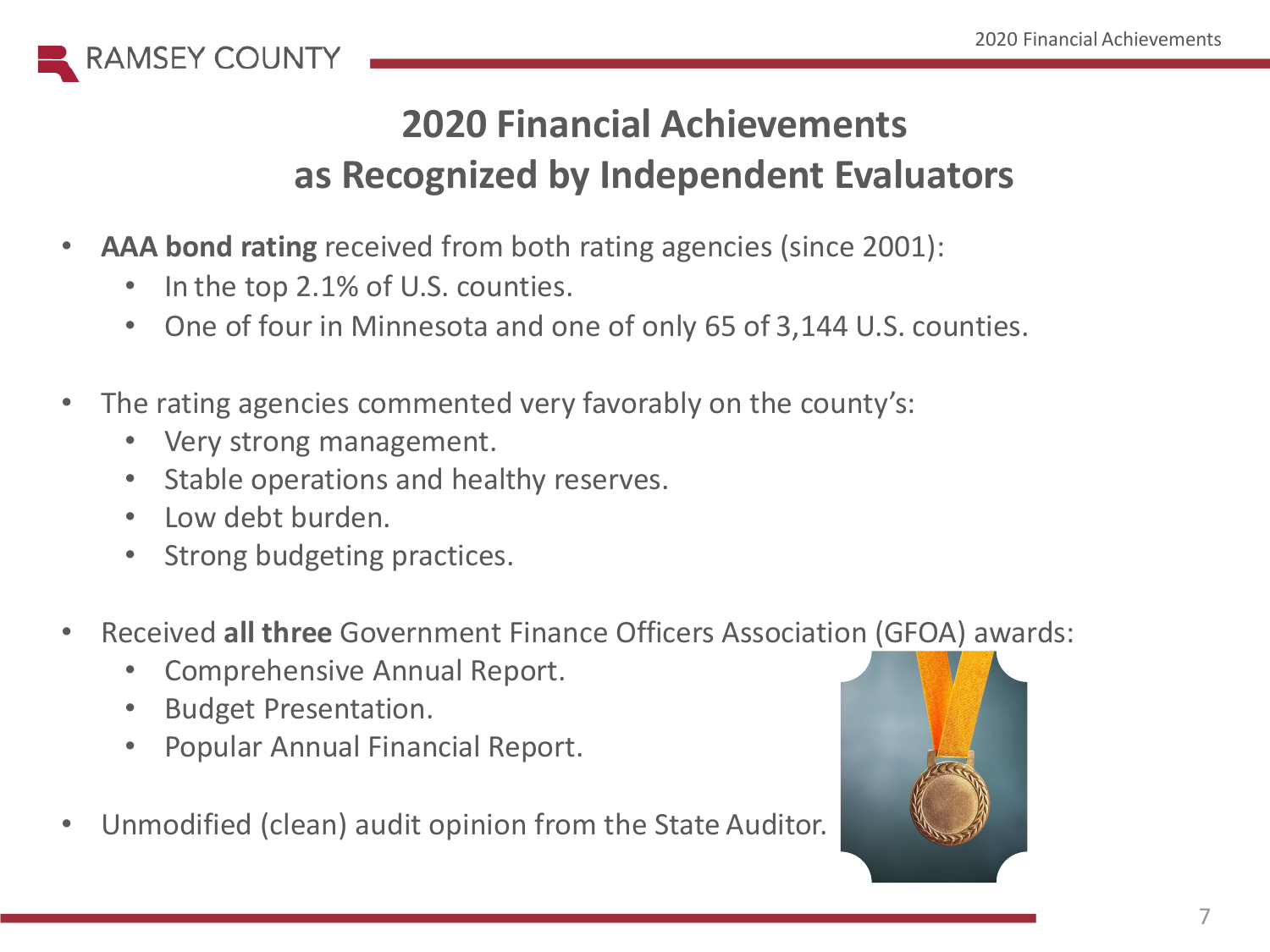

## **2020 Financial Achievements as Recognized by Independent Evaluators**

- **AAA bond rating** received from both rating agencies (since 2001):
	- In the top 2.1% of U.S. counties.
	- One of four in Minnesota and one of only 65 of 3,144 U.S. counties.
- The rating agencies commented very favorably on the county's:
	- Very strong management.
	- Stable operations and healthy reserves.
	- Low debt burden.
	- Strong budgeting practices.
- Received **all three** Government Finance Officers Association (GFOA) awards:
	- Comprehensive Annual Report.
	- Budget Presentation.
	- Popular Annual Financial Report.
- Unmodified (clean) audit opinion from the State Auditor.

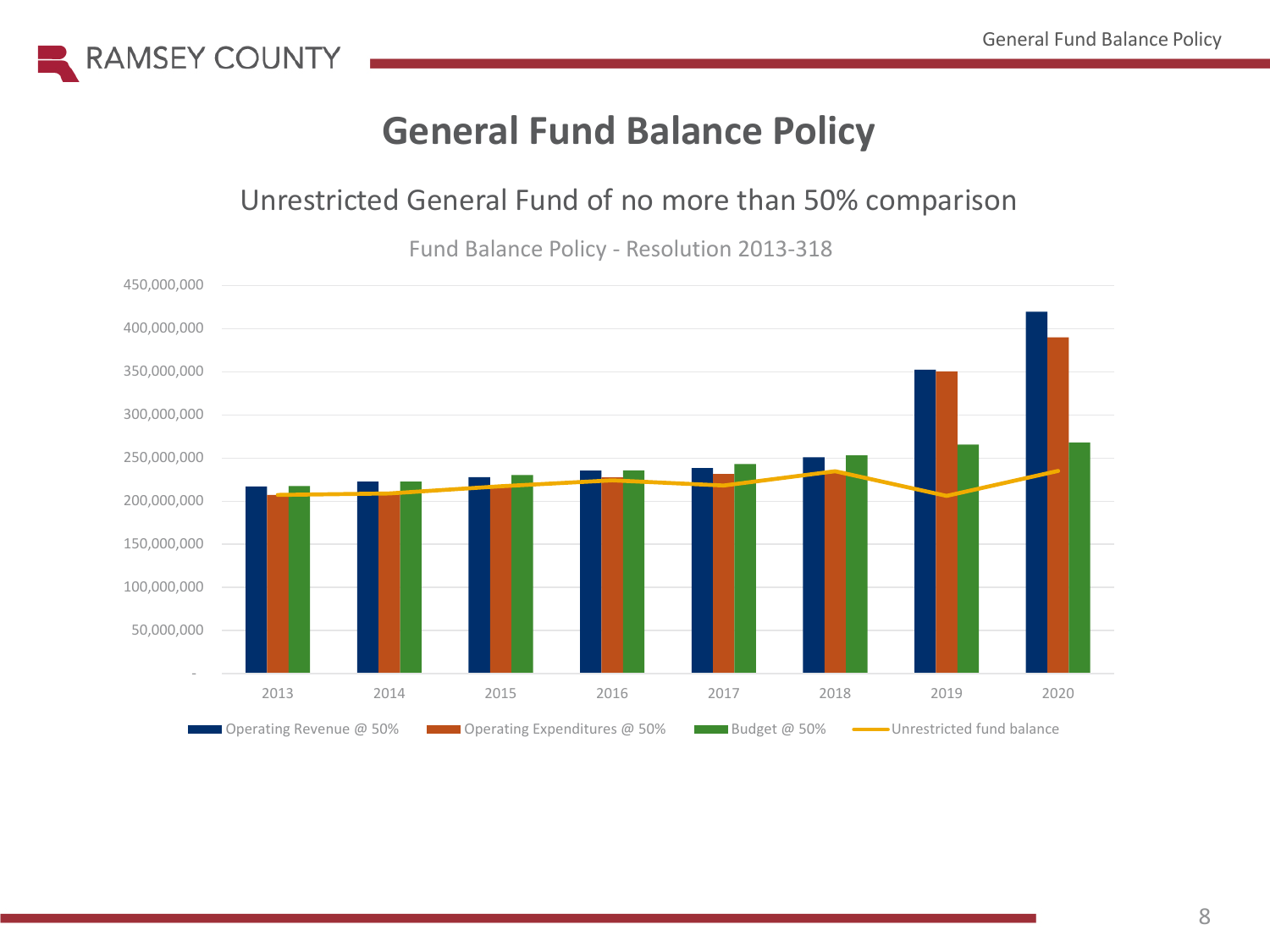

### **General Fund Balance Policy**

#### Unrestricted General Fund of no more than 50% comparison

Fund Balance Policy - Resolution 2013-318

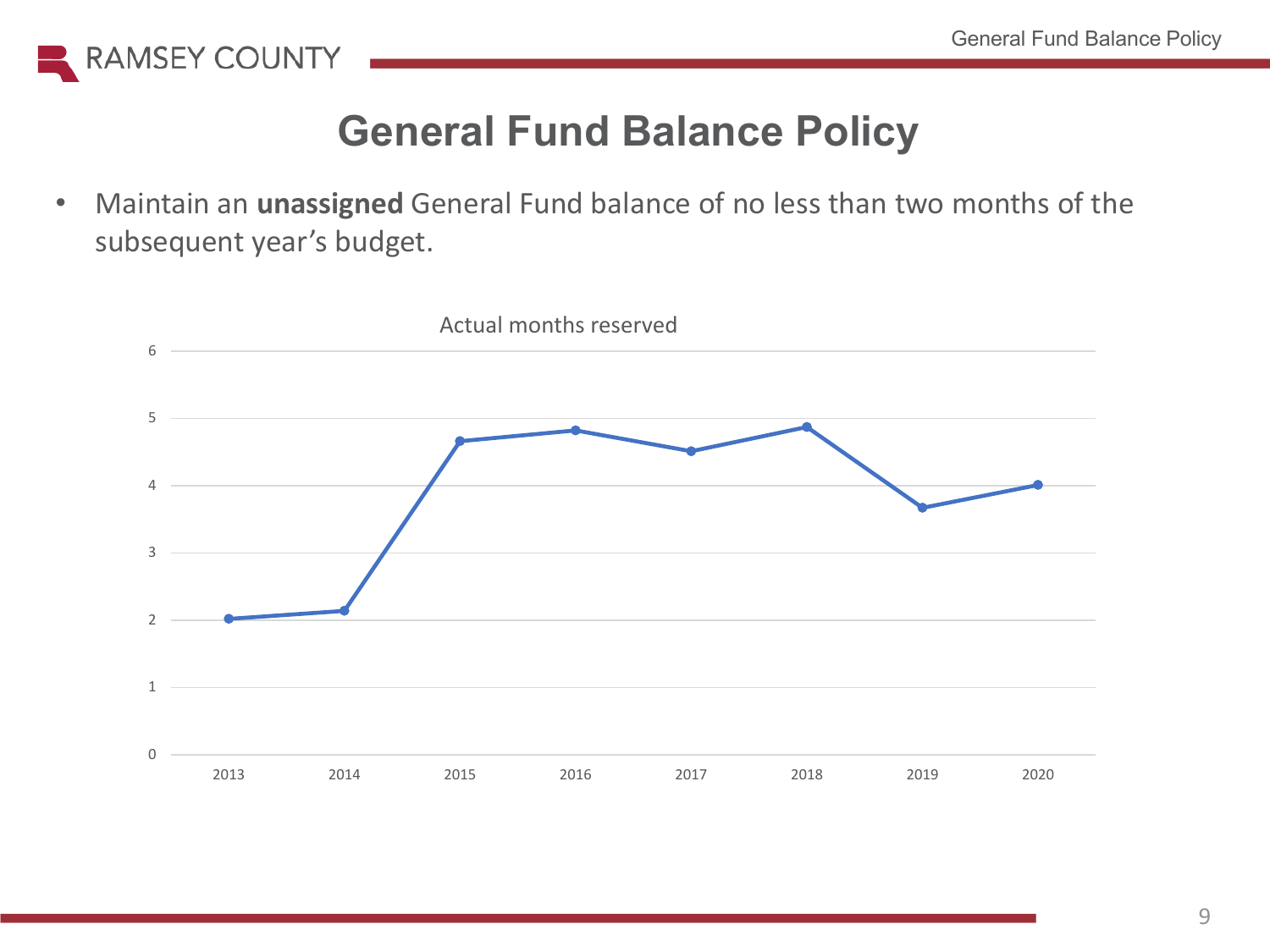

### **General Fund Balance Policy**

• Maintain an **unassigned** General Fund balance of no less than two months of the subsequent year's budget.

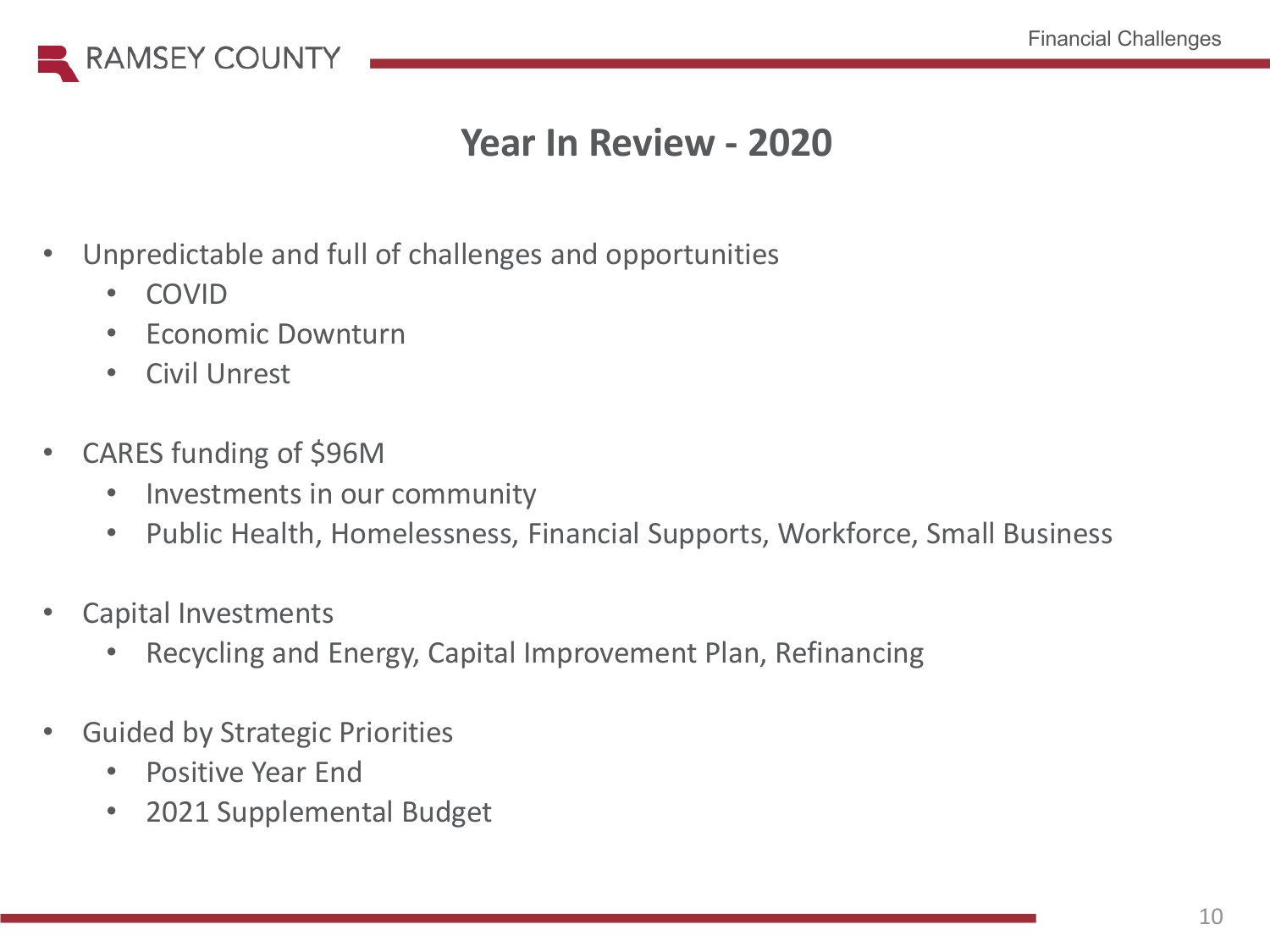

### **Year In Review - 2020**

- Unpredictable and full of challenges and opportunities
	- COVID
	- Economic Downturn
	- Civil Unrest
- CARES funding of \$96M
	- Investments in our community
	- Public Health, Homelessness, Financial Supports, Workforce, Small Business
- Capital Investments
	- Recycling and Energy, Capital Improvement Plan, Refinancing
- Guided by Strategic Priorities
	- Positive Year End
	- 2021 Supplemental Budget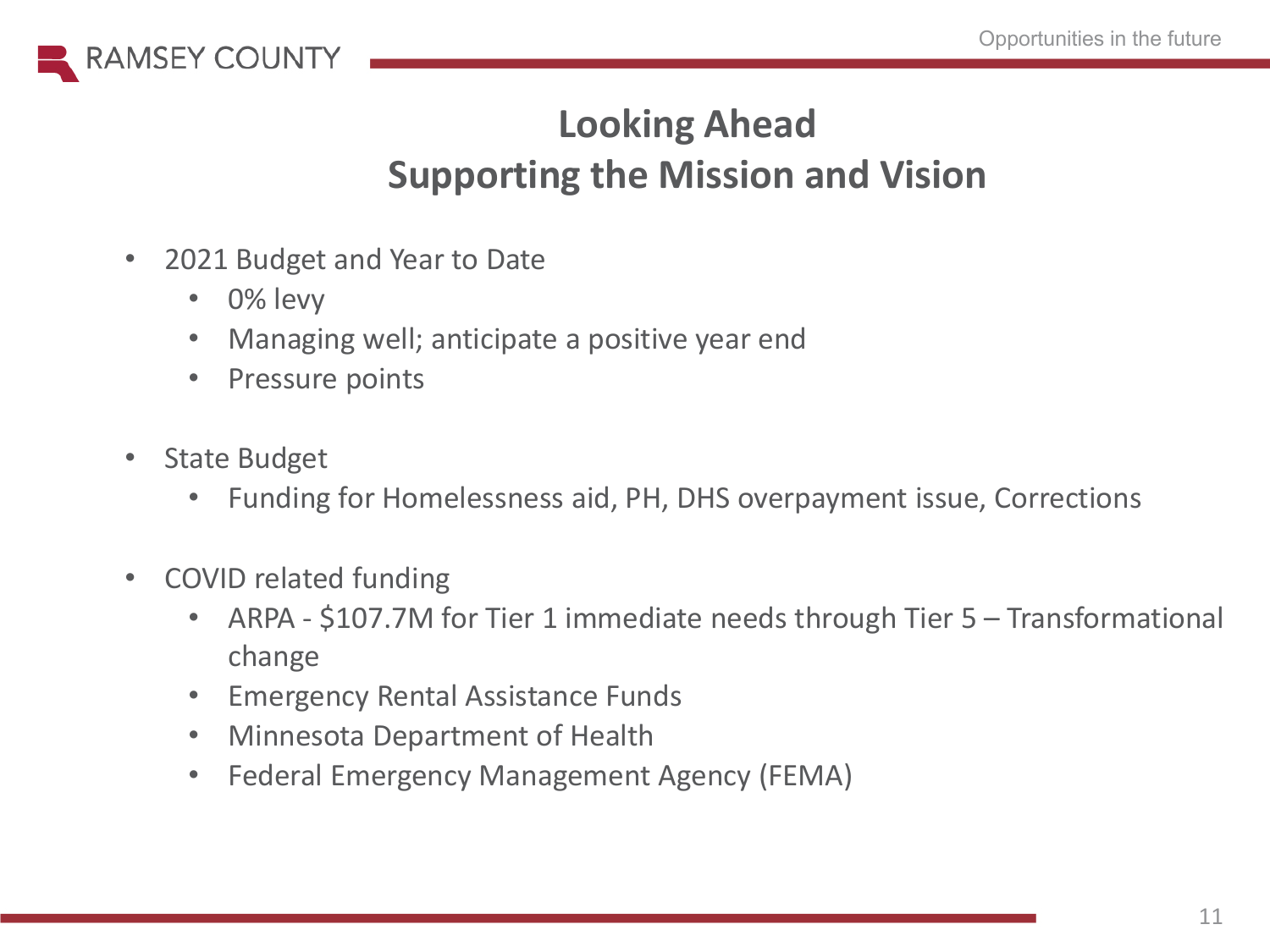

## **Looking Ahead Supporting the Mission and Vision**

- 2021 Budget and Year to Date
	- 0% levy
	- Managing well; anticipate a positive year end
	- Pressure points
- State Budget
	- Funding for Homelessness aid, PH, DHS overpayment issue, Corrections
- COVID related funding
	- ARPA \$107.7M for Tier 1 immediate needs through Tier 5 Transformational change
	- Emergency Rental Assistance Funds
	- Minnesota Department of Health
	- Federal Emergency Management Agency (FEMA)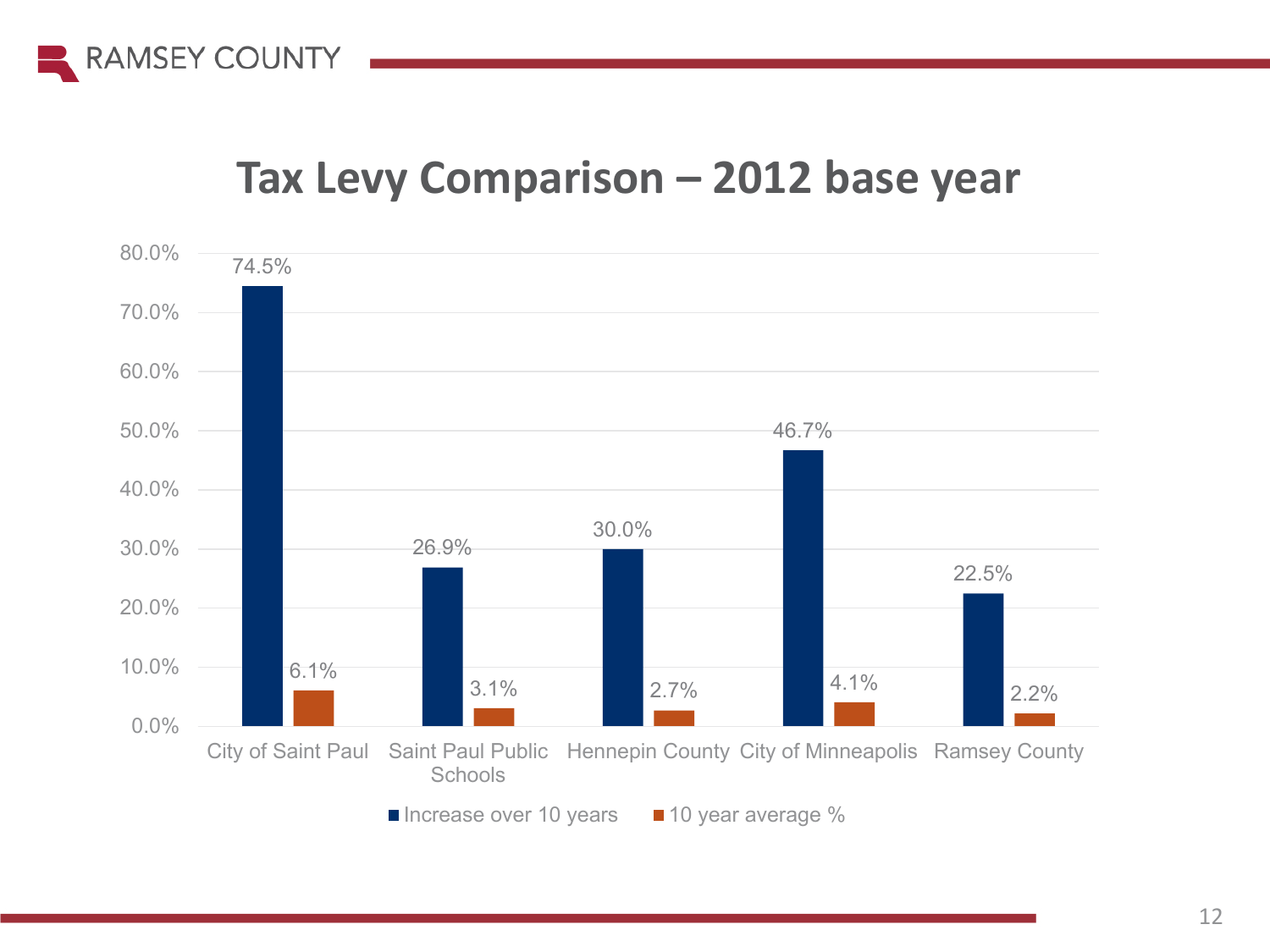

### **Tax Levy Comparison – 2012 base year**

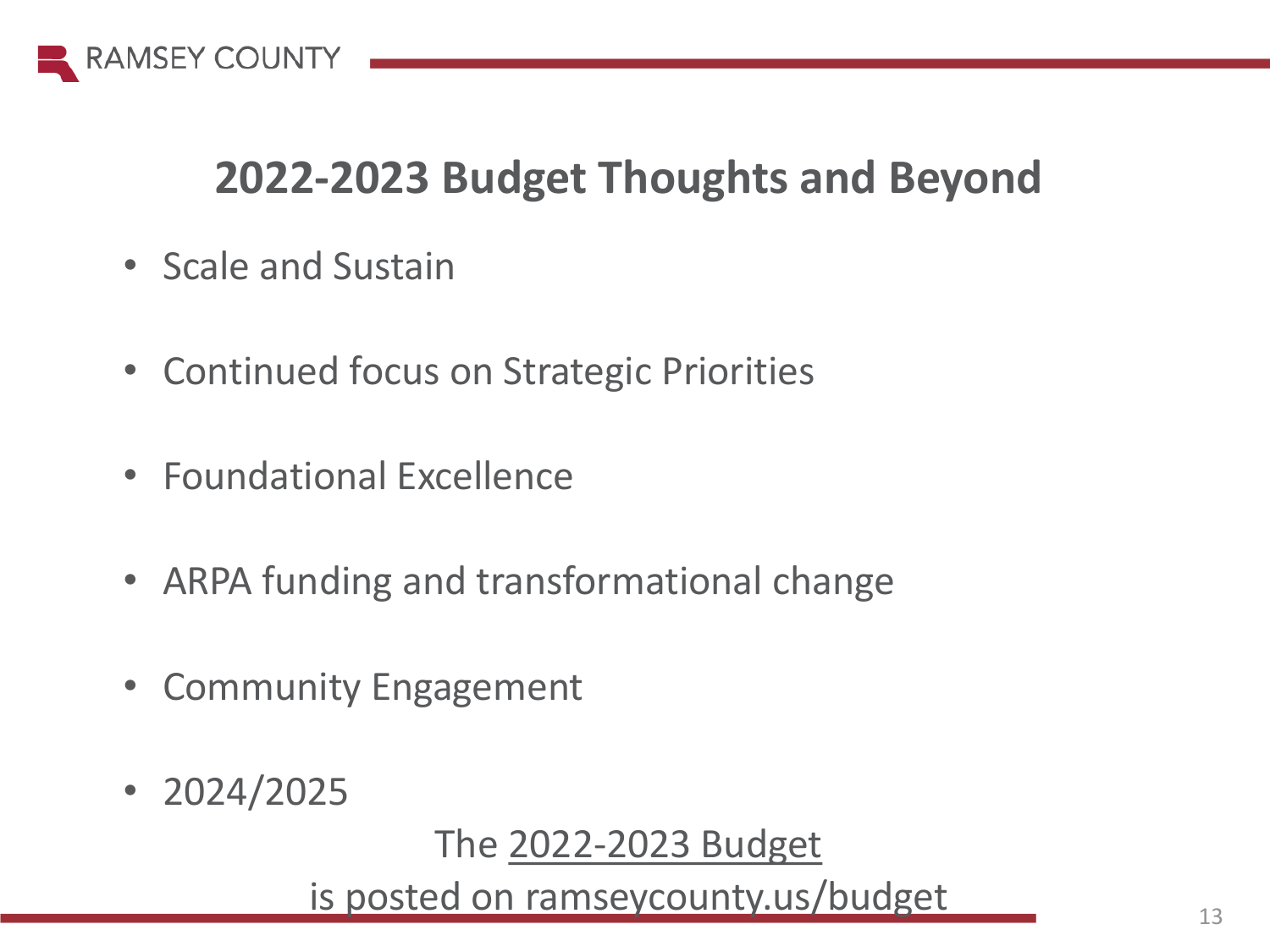

## **2022-2023 Budget Thoughts and Beyond**

- Scale and Sustain
- Continued focus on Strategic Priorities
- Foundational Excellence
- ARPA funding and transformational change
- Community Engagement
- 2024/2025

The [2022-2023 Budget](https://www.ramseycounty.us/your-government/budget-finance)

is posted on ramseycounty.us/budget